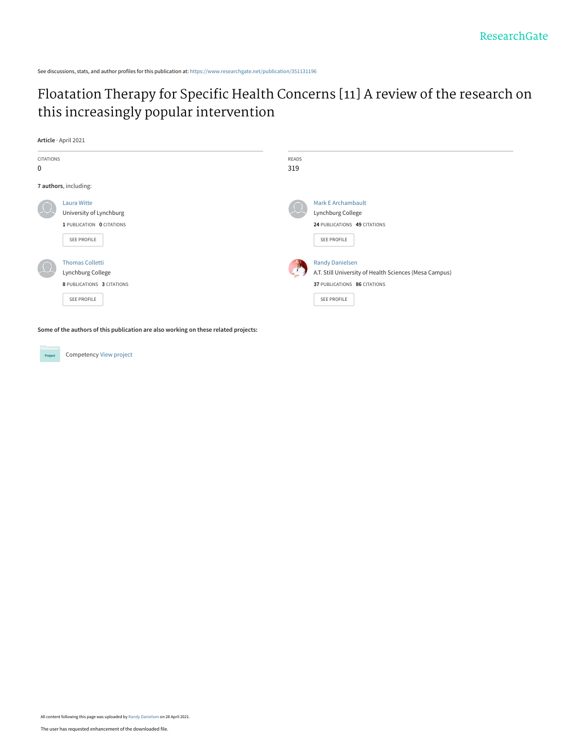See discussions, stats, and author profiles for this publication at: [https://www.researchgate.net/publication/351131196](https://www.researchgate.net/publication/351131196_Floatation_Therapy_for_Specific_Health_Concerns_11_A_review_of_the_research_on_this_increasingly_popular_intervention?enrichId=rgreq-7a9a205040076bd649cdc3bbde3897bd-XXX&enrichSource=Y292ZXJQYWdlOzM1MTEzMTE5NjtBUzoxMDE3NjM2OTM4ODU0NDA4QDE2MTk2MzQ5NjE5NzM%3D&el=1_x_2&_esc=publicationCoverPdf)

# [Floatation Therapy for Specific Health Concerns \[11\] A review of the research on](https://www.researchgate.net/publication/351131196_Floatation_Therapy_for_Specific_Health_Concerns_11_A_review_of_the_research_on_this_increasingly_popular_intervention?enrichId=rgreq-7a9a205040076bd649cdc3bbde3897bd-XXX&enrichSource=Y292ZXJQYWdlOzM1MTEzMTE5NjtBUzoxMDE3NjM2OTM4ODU0NDA4QDE2MTk2MzQ5NjE5NzM%3D&el=1_x_3&_esc=publicationCoverPdf) this increasingly popular intervention

**Article** · April 2021



**Some of the authors of this publication are also working on these related projects:**

Competency [View project](https://www.researchgate.net/project/Competency?enrichId=rgreq-7a9a205040076bd649cdc3bbde3897bd-XXX&enrichSource=Y292ZXJQYWdlOzM1MTEzMTE5NjtBUzoxMDE3NjM2OTM4ODU0NDA4QDE2MTk2MzQ5NjE5NzM%3D&el=1_x_9&_esc=publicationCoverPdf) Project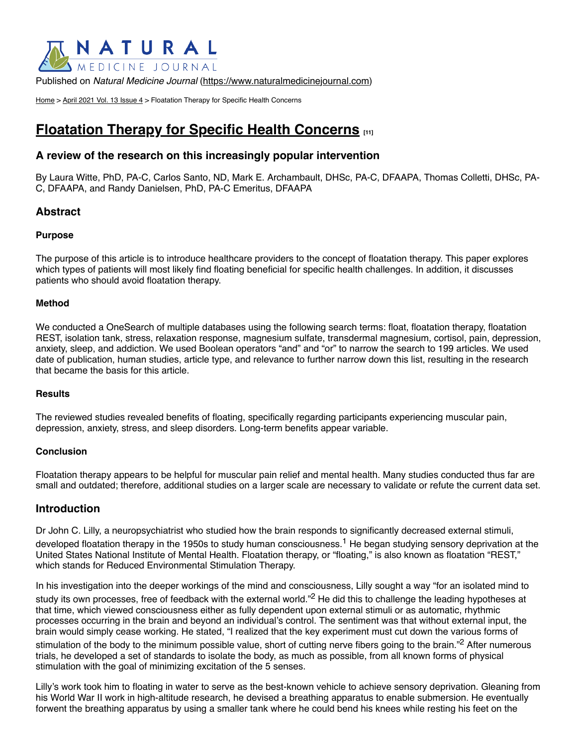

Published on *Natural Medicine Journal* ([https://www.naturalmedicinejournal.com\)](https://www.naturalmedicinejournal.com/)

[Home](https://www.naturalmedicinejournal.com/) > [April 2021 Vol. 13 Issue 4](https://www.naturalmedicinejournal.com/journal/2021-04/april-2021-vol-13-issue-4) > Floatation Therapy for Specific Health Concerns

# **[Floatation Therapy for Specific Health Concerns](https://www.naturalmedicinejournal.com/journal/2021-04/floatation-therapy-specific-health-concerns)**  $[11]$

#### **A review of the research on this increasingly popular intervention**

By Laura Witte, PhD, PA-C, Carlos Santo, ND, Mark E. Archambault, DHSc, PA-C, DFAAPA, Thomas Colletti, DHSc, PA-C, DFAAPA, and Randy Danielsen, PhD, PA-C Emeritus, DFAAPA

# **Abstract**

#### **Purpose**

The purpose of this article is to introduce healthcare providers to the concept of floatation therapy. This paper explores which types of patients will most likely find floating beneficial for specific health challenges. In addition, it discusses patients who should avoid floatation therapy.

#### **Method**

We conducted a OneSearch of multiple databases using the following search terms: float, floatation therapy, floatation REST, isolation tank, stress, relaxation response, magnesium sulfate, transdermal magnesium, cortisol, pain, depression, anxiety, sleep, and addiction. We used Boolean operators "and" and "or" to narrow the search to 199 articles. We used date of publication, human studies, article type, and relevance to further narrow down this list, resulting in the research that became the basis for this article.

#### **Results**

The reviewed studies revealed benefits of floating, specifically regarding participants experiencing muscular pain, depression, anxiety, stress, and sleep disorders. Long-term benefits appear variable.

#### **Conclusion**

Floatation therapy appears to be helpful for muscular pain relief and mental health. Many studies conducted thus far are small and outdated; therefore, additional studies on a larger scale are necessary to validate or refute the current data set.

#### **Introduction**

Dr John C. Lilly, a neuropsychiatrist who studied how the brain responds to significantly decreased external stimuli, developed floatation therapy in the 1950s to study human consciousness.<sup>1</sup> He began studying sensory deprivation at the United States National Institute of Mental Health. Floatation therapy, or "floating," is also known as floatation "REST," which stands for Reduced Environmental Stimulation Therapy.

In his investigation into the deeper workings of the mind and consciousness, Lilly sought a way "for an isolated mind to study its own processes, free of feedback with the external world."<sup>2</sup> He did this to challenge the leading hypotheses at that time, which viewed consciousness either as fully dependent upon external stimuli or as automatic, rhythmic processes occurring in the brain and beyond an individual's control. The sentiment was that without external input, the brain would simply cease working. He stated, "I realized that the key experiment must cut down the various forms of stimulation of the body to the minimum possible value, short of cutting nerve fibers going to the brain."<sup>2</sup> After numerous trials, he developed a set of standards to isolate the body, as much as possible, from all known forms of physical stimulation with the goal of minimizing excitation of the 5 senses.

Lilly's work took him to floating in water to serve as the best-known vehicle to achieve sensory deprivation. Gleaning from his World War II work in high-altitude research, he devised a breathing apparatus to enable submersion. He eventually forwent the breathing apparatus by using a smaller tank where he could bend his knees while resting his feet on the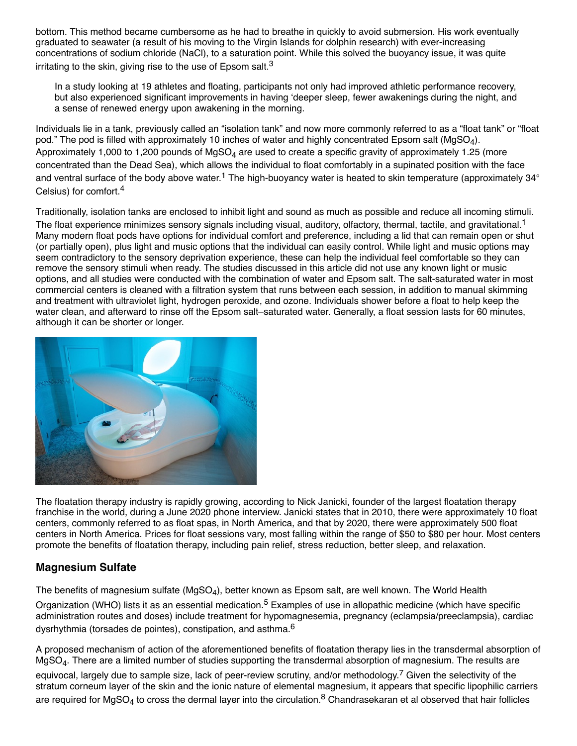bottom. This method became cumbersome as he had to breathe in quickly to avoid submersion. His work eventually graduated to seawater (a result of his moving to the Virgin Islands for dolphin research) with ever-increasing concentrations of sodium chloride (NaCl), to a saturation point. While this solved the buoyancy issue, it was quite irritating to the skin, giving rise to the use of Epsom salt. $3$ 

In a study looking at 19 athletes and floating, participants not only had improved athletic performance recovery, but also experienced significant improvements in having 'deeper sleep, fewer awakenings during the night, and a sense of renewed energy upon awakening in the morning.

Individuals lie in a tank, previously called an "isolation tank" and now more commonly referred to as a "float tank" or "float pod." The pod is filled with approximately 10 inches of water and highly concentrated Epsom salt (MgSO<sub>4</sub>). Approximately 1,000 to 1,200 pounds of MgSO<sub>4</sub> are used to create a specific gravity of approximately 1.25 (more concentrated than the Dead Sea), which allows the individual to float comfortably in a supinated position with the face and ventral surface of the body above water.<sup>1</sup> The high-buoyancy water is heated to skin temperature (approximately 34° Celsius) for comfort.<sup>4</sup>

Traditionally, isolation tanks are enclosed to inhibit light and sound as much as possible and reduce all incoming stimuli.

The float experience minimizes sensory signals including visual, auditory, olfactory, thermal, tactile, and gravitational.<sup>1</sup> Many modern float pods have options for individual comfort and preference, including a lid that can remain open or shut (or partially open), plus light and music options that the individual can easily control. While light and music options may seem contradictory to the sensory deprivation experience, these can help the individual feel comfortable so they can remove the sensory stimuli when ready. The studies discussed in this article did not use any known light or music options, and all studies were conducted with the combination of water and Epsom salt. The salt-saturated water in most commercial centers is cleaned with a filtration system that runs between each session, in addition to manual skimming and treatment with ultraviolet light, hydrogen peroxide, and ozone. Individuals shower before a float to help keep the water clean, and afterward to rinse off the Epsom salt–saturated water. Generally, a float session lasts for 60 minutes, although it can be shorter or longer.



The floatation therapy industry is rapidly growing, according to Nick Janicki, founder of the largest floatation therapy franchise in the world, during a June 2020 phone interview. Janicki states that in 2010, there were approximately 10 float centers, commonly referred to as float spas, in North America, and that by 2020, there were approximately 500 float centers in North America. Prices for float sessions vary, most falling within the range of \$50 to \$80 per hour. Most centers promote the benefits of floatation therapy, including pain relief, stress reduction, better sleep, and relaxation.

# **Magnesium Sulfate**

The benefits of magnesium sulfate (MgSO<sub>4</sub>), better known as Epsom salt, are well known. The World Health

Organization (WHO) lists it as an essential medication.<sup>5</sup> Examples of use in allopathic medicine (which have specific administration routes and doses) include treatment for hypomagnesemia, pregnancy (eclampsia/preeclampsia), cardiac dysrhythmia (torsades de pointes), constipation, and asthma.<sup>6</sup>

A proposed mechanism of action of the aforementioned benefits of floatation therapy lies in the transdermal absorption of MgSO<sub>4</sub>. There are a limited number of studies supporting the transdermal absorption of magnesium. The results are

equivocal, largely due to sample size, lack of peer-review scrutiny, and/or methodology.<sup>7</sup> Given the selectivity of the stratum corneum layer of the skin and the ionic nature of elemental magnesium, it appears that specific lipophilic carriers are required for MgSO<sub>4</sub> to cross the dermal layer into the circulation.<sup>8</sup> Chandrasekaran et al observed that hair follicles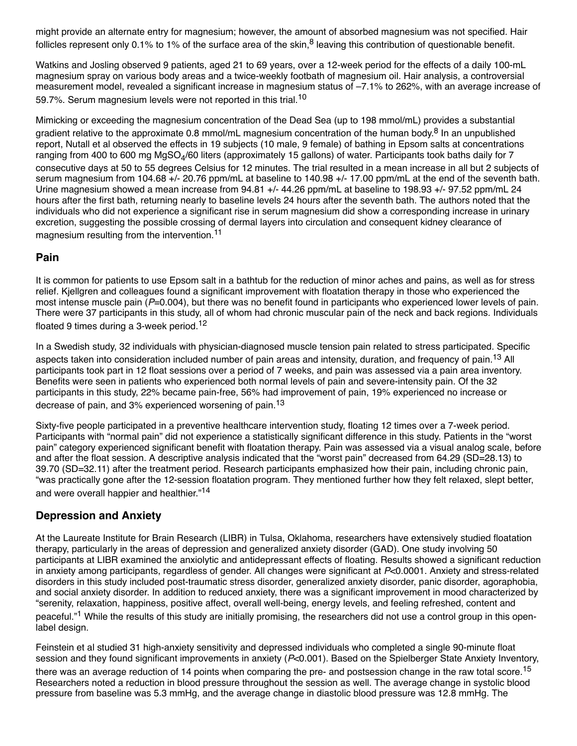might provide an alternate entry for magnesium; however, the amount of absorbed magnesium was not specified. Hair follicles represent only 0.1% to 1% of the surface area of the skin,  $8$  leaving this contribution of questionable benefit.

Watkins and Josling observed 9 patients, aged 21 to 69 years, over a 12-week period for the effects of a daily 100-mL magnesium spray on various body areas and a twice-weekly footbath of magnesium oil. Hair analysis, a controversial measurement model, revealed a significant increase in magnesium status of –7.1% to 262%, with an average increase of 59.7%. Serum magnesium levels were not reported in this trial.<sup>10</sup>

Mimicking or exceeding the magnesium concentration of the Dead Sea (up to 198 mmol/mL) provides a substantial gradient relative to the approximate 0.8 mmol/mL magnesium concentration of the human body.<sup>8</sup> In an unpublished report, Nutall et al observed the effects in 19 subjects (10 male, 9 female) of bathing in Epsom salts at concentrations ranging from 400 to 600 mg MgSO<sub>4</sub>/60 liters (approximately 15 gallons) of water. Participants took baths daily for 7 consecutive days at 50 to 55 degrees Celsius for 12 minutes. The trial resulted in a mean increase in all but 2 subjects of serum magnesium from 104.68 +/- 20.76 ppm/mL at baseline to 140.98 +/- 17.00 ppm/mL at the end of the seventh bath. Urine magnesium showed a mean increase from 94.81 +/- 44.26 ppm/mL at baseline to 198.93 +/- 97.52 ppm/mL 24 hours after the first bath, returning nearly to baseline levels 24 hours after the seventh bath. The authors noted that the individuals who did not experience a significant rise in serum magnesium did show a corresponding increase in urinary excretion, suggesting the possible crossing of dermal layers into circulation and consequent kidney clearance of magnesium resulting from the intervention.<sup>11</sup>

# **Pain**

It is common for patients to use Epsom salt in a bathtub for the reduction of minor aches and pains, as well as for stress relief. Kjellgren and colleagues found a significant improvement with floatation therapy in those who experienced the most intense muscle pain ( $P=0.004$ ), but there was no benefit found in participants who experienced lower levels of pain. There were 37 participants in this study, all of whom had chronic muscular pain of the neck and back regions. Individuals floated 9 times during a 3-week period.<sup>12</sup>

In a Swedish study, 32 individuals with physician-diagnosed muscle tension pain related to stress participated. Specific aspects taken into consideration included number of pain areas and intensity, duration, and frequency of pain.<sup>13</sup> All participants took part in 12 float sessions over a period of 7 weeks, and pain was assessed via a pain area inventory. Benefits were seen in patients who experienced both normal levels of pain and severe-intensity pain. Of the 32 participants in this study, 22% became pain-free, 56% had improvement of pain, 19% experienced no increase or decrease of pain, and 3% experienced worsening of pain.<sup>13</sup>

Sixty-five people participated in a preventive healthcare intervention study, floating 12 times over a 7-week period. Participants with "normal pain" did not experience a statistically significant difference in this study. Patients in the "worst pain" category experienced significant benefit with floatation therapy. Pain was assessed via a visual analog scale, before and after the float session. A descriptive analysis indicated that the "worst pain" decreased from 64.29 (SD=28.13) to 39.70 (SD=32.11) after the treatment period. Research participants emphasized how their pain, including chronic pain, "was practically gone after the 12-session floatation program. They mentioned further how they felt relaxed, slept better, and were overall happier and healthier."<sup>14</sup>

# **Depression and Anxiety**

At the Laureate Institute for Brain Research (LIBR) in Tulsa, Oklahoma, researchers have extensively studied floatation therapy, particularly in the areas of depression and generalized anxiety disorder (GAD). One study involving 50 participants at LIBR examined the anxiolytic and antidepressant effects of floating. Results showed a significant reduction in anxiety among participants, regardless of gender. All changes were significant at *P*<0.0001. Anxiety and stress-related disorders in this study included post-traumatic stress disorder, generalized anxiety disorder, panic disorder, agoraphobia, and social anxiety disorder. In addition to reduced anxiety, there was a significant improvement in mood characterized by "serenity, relaxation, happiness, positive affect, overall well-being, energy levels, and feeling refreshed, content and peaceful."<sup>1</sup> While the results of this study are initially promising, the researchers did not use a control group in this openlabel design.

Feinstein et al studied 31 high-anxiety sensitivity and depressed individuals who completed a single 90-minute float session and they found significant improvements in anxiety (*P*<0.001). Based on the Spielberger State Anxiety Inventory, there was an average reduction of 14 points when comparing the pre- and postsession change in the raw total score.<sup>15</sup> Researchers noted a reduction in blood pressure throughout the session as well. The average change in systolic blood pressure from baseline was 5.3 mmHg, and the average change in diastolic blood pressure was 12.8 mmHg. The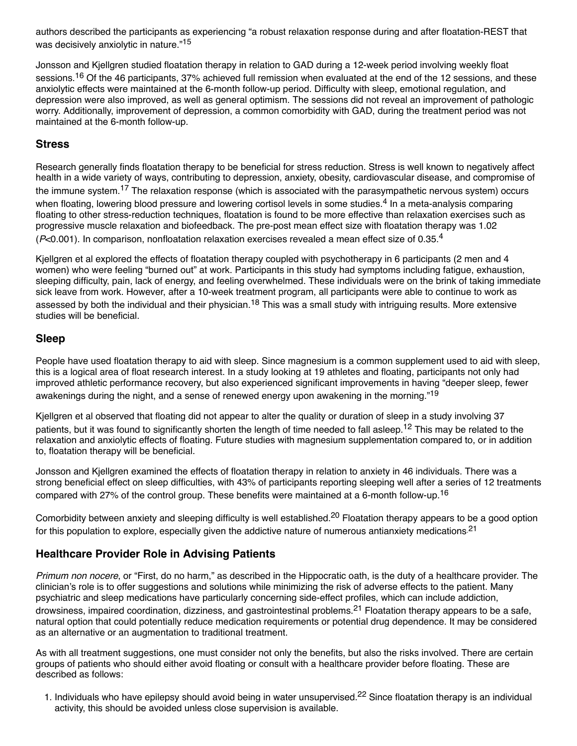authors described the participants as experiencing "a robust relaxation response during and after floatation-REST that was decisively anxiolytic in nature."<sup>15</sup>

Jonsson and Kjellgren studied floatation therapy in relation to GAD during a 12-week period involving weekly float sessions.<sup>16</sup> Of the 46 participants, 37% achieved full remission when evaluated at the end of the 12 sessions, and these anxiolytic effects were maintained at the 6-month follow-up period. Difficulty with sleep, emotional regulation, and depression were also improved, as well as general optimism. The sessions did not reveal an improvement of pathologic worry. Additionally, improvement of depression, a common comorbidity with GAD, during the treatment period was not maintained at the 6-month follow-up.

#### **Stress**

Research generally finds floatation therapy to be beneficial for stress reduction. Stress is well known to negatively affect health in a wide variety of ways, contributing to depression, anxiety, obesity, cardiovascular disease, and compromise of the immune system.<sup>17</sup> The relaxation response (which is associated with the parasympathetic nervous system) occurs when floating, lowering blood pressure and lowering cortisol levels in some studies.<sup>4</sup> In a meta-analysis comparing floating to other stress-reduction techniques, floatation is found to be more effective than relaxation exercises such as progressive muscle relaxation and biofeedback. The pre-post mean effect size with floatation therapy was 1.02 (*P*<0.001). In comparison, nonfloatation relaxation exercises revealed a mean effect size of 0.35.<sup>4</sup>

Kjellgren et al explored the effects of floatation therapy coupled with psychotherapy in 6 participants (2 men and 4 women) who were feeling "burned out" at work. Participants in this study had symptoms including fatigue, exhaustion, sleeping difficulty, pain, lack of energy, and feeling overwhelmed. These individuals were on the brink of taking immediate sick leave from work. However, after a 10-week treatment program, all participants were able to continue to work as assessed by both the individual and their physician.<sup>18</sup> This was a small study with intriguing results. More extensive studies will be beneficial.

#### **Sleep**

People have used floatation therapy to aid with sleep. Since magnesium is a common supplement used to aid with sleep, this is a logical area of float research interest. In a study looking at 19 athletes and floating, participants not only had improved athletic performance recovery, but also experienced significant improvements in having "deeper sleep, fewer awakenings during the night, and a sense of renewed energy upon awakening in the morning."<sup>19</sup>

Kjellgren et al observed that floating did not appear to alter the quality or duration of sleep in a study involving 37 patients, but it was found to significantly shorten the length of time needed to fall asleep.<sup>12</sup> This may be related to the relaxation and anxiolytic effects of floating. Future studies with magnesium supplementation compared to, or in addition to, floatation therapy will be beneficial.

Jonsson and Kjellgren examined the effects of floatation therapy in relation to anxiety in 46 individuals. There was a strong beneficial effect on sleep difficulties, with 43% of participants reporting sleeping well after a series of 12 treatments compared with 27% of the control group. These benefits were maintained at a 6-month follow-up.<sup>16</sup>

Comorbidity between anxiety and sleeping difficulty is well established.<sup>20</sup> Floatation therapy appears to be a good option for this population to explore, especially given the addictive nature of numerous antianxiety medications.<sup>21</sup>

# **Healthcare Provider Role in Advising Patients**

*Primum non nocere*, or "First, do no harm," as described in the Hippocratic oath, is the duty of a healthcare provider. The clinician's role is to offer suggestions and solutions while minimizing the risk of adverse effects to the patient. Many psychiatric and sleep medications have particularly concerning side-effect profiles, which can include addiction, drowsiness, impaired coordination, dizziness, and gastrointestinal problems.<sup>21</sup> Floatation therapy appears to be a safe, natural option that could potentially reduce medication requirements or potential drug dependence. It may be considered as an alternative or an augmentation to traditional treatment.

As with all treatment suggestions, one must consider not only the benefits, but also the risks involved. There are certain groups of patients who should either avoid floating or consult with a healthcare provider before floating. These are described as follows:

1. Individuals who have epilepsy should avoid being in water unsupervised.<sup>22</sup> Since floatation therapy is an individual activity, this should be avoided unless close supervision is available.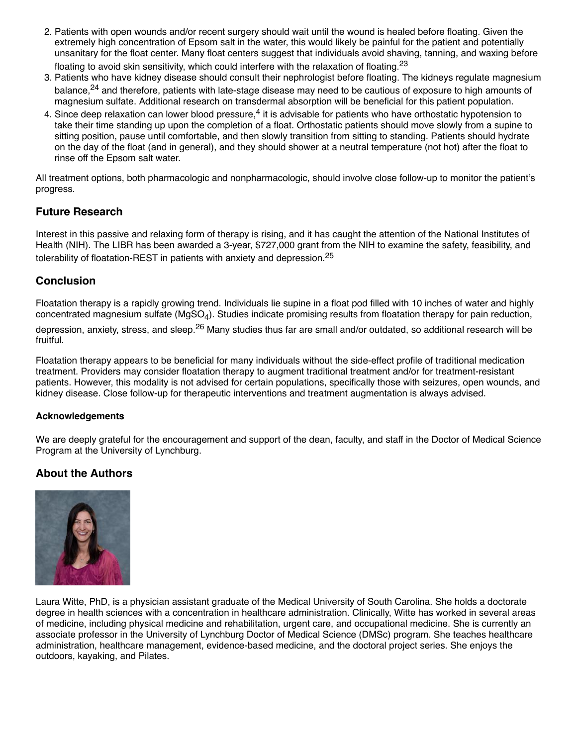- 2. Patients with open wounds and/or recent surgery should wait until the wound is healed before floating. Given the extremely high concentration of Epsom salt in the water, this would likely be painful for the patient and potentially unsanitary for the float center. Many float centers suggest that individuals avoid shaving, tanning, and waxing before floating to avoid skin sensitivity, which could interfere with the relaxation of floating.<sup>23</sup>
- 3. Patients who have kidney disease should consult their nephrologist before floating. The kidneys regulate magnesium balance,<sup>24</sup> and therefore, patients with late-stage disease may need to be cautious of exposure to high amounts of magnesium sulfate. Additional research on transdermal absorption will be beneficial for this patient population.
- 4. Since deep relaxation can lower blood pressure,<sup>4</sup> it is advisable for patients who have orthostatic hypotension to take their time standing up upon the completion of a float. Orthostatic patients should move slowly from a supine to sitting position, pause until comfortable, and then slowly transition from sitting to standing. Patients should hydrate on the day of the float (and in general), and they should shower at a neutral temperature (not hot) after the float to rinse off the Epsom salt water.

All treatment options, both pharmacologic and nonpharmacologic, should involve close follow-up to monitor the patient's progress.

# **Future Research**

Interest in this passive and relaxing form of therapy is rising, and it has caught the attention of the National Institutes of Health (NIH). The LIBR has been awarded a 3-year, \$727,000 grant from the NIH to examine the safety, feasibility, and tolerability of floatation-REST in patients with anxiety and depression.<sup>25</sup>

# **Conclusion**

Floatation therapy is a rapidly growing trend. Individuals lie supine in a float pod filled with 10 inches of water and highly concentrated magnesium sulfate (MgSO<sub>4</sub>). Studies indicate promising results from floatation therapy for pain reduction,

depression, anxiety, stress, and sleep.<sup>26</sup> Many studies thus far are small and/or outdated, so additional research will be fruitful.

Floatation therapy appears to be beneficial for many individuals without the side-effect profile of traditional medication treatment. Providers may consider floatation therapy to augment traditional treatment and/or for treatment-resistant patients. However, this modality is not advised for certain populations, specifically those with seizures, open wounds, and kidney disease. Close follow-up for therapeutic interventions and treatment augmentation is always advised.

#### **Acknowledgements**

We are deeply grateful for the encouragement and support of the dean, faculty, and staff in the Doctor of Medical Science Program at the University of Lynchburg.

# **About the Authors**



Laura Witte, PhD, is a physician assistant graduate of the Medical University of South Carolina. She holds a doctorate degree in health sciences with a concentration in healthcare administration. Clinically, Witte has worked in several areas of medicine, including physical medicine and rehabilitation, urgent care, and occupational medicine. She is currently an associate professor in the University of Lynchburg Doctor of Medical Science (DMSc) program. She teaches healthcare administration, healthcare management, evidence-based medicine, and the doctoral project series. She enjoys the outdoors, kayaking, and Pilates.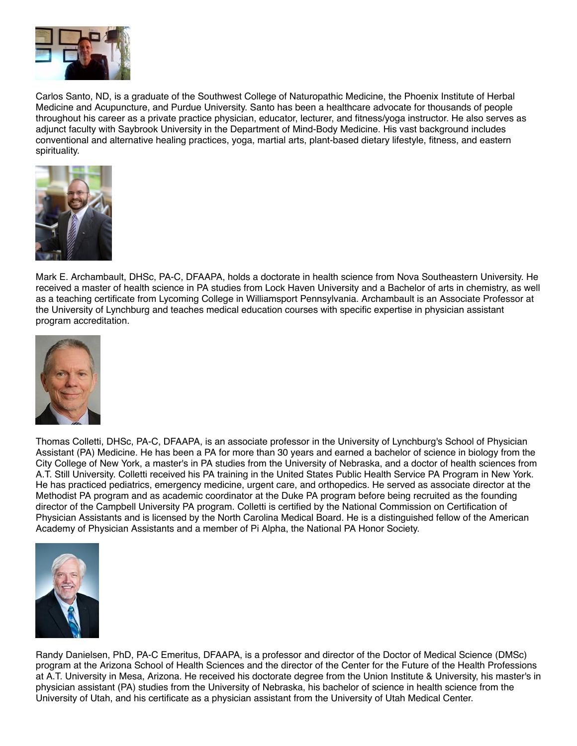

Carlos Santo, ND, is a graduate of the Southwest College of Naturopathic Medicine, the Phoenix Institute of Herbal Medicine and Acupuncture, and Purdue University. Santo has been a healthcare advocate for thousands of people throughout his career as a private practice physician, educator, lecturer, and fitness/yoga instructor. He also serves as adjunct faculty with Saybrook University in the Department of Mind-Body Medicine. His vast background includes conventional and alternative healing practices, yoga, martial arts, plant-based dietary lifestyle, fitness, and eastern spirituality.



Mark E. Archambault, DHSc, PA-C, DFAAPA, holds a doctorate in health science from Nova Southeastern University. He received a master of health science in PA studies from Lock Haven University and a Bachelor of arts in chemistry, as well as a teaching certificate from Lycoming College in Williamsport Pennsylvania. Archambault is an Associate Professor at the University of Lynchburg and teaches medical education courses with specific expertise in physician assistant program accreditation.



Thomas Colletti, DHSc, PA-C, DFAAPA, is an associate professor in the University of Lynchburg's School of Physician Assistant (PA) Medicine. He has been a PA for more than 30 years and earned a bachelor of science in biology from the City College of New York, a master's in PA studies from the University of Nebraska, and a doctor of health sciences from A.T. Still University. Colletti received his PA training in the United States Public Health Service PA Program in New York. He has practiced pediatrics, emergency medicine, urgent care, and orthopedics. He served as associate director at the Methodist PA program and as academic coordinator at the Duke PA program before being recruited as the founding director of the Campbell University PA program. Colletti is certified by the National Commission on Certification of Physician Assistants and is licensed by the North Carolina Medical Board. He is a distinguished fellow of the American Academy of Physician Assistants and a member of Pi Alpha, the National PA Honor Society.



Randy Danielsen, PhD, PA-C Emeritus, DFAAPA, is a professor and director of the Doctor of Medical Science (DMSc) program at the Arizona School of Health Sciences and the director of the Center for the Future of the Health Professions at A.T. University in Mesa, Arizona. He received his doctorate degree from the Union Institute & University, his master's in physician assistant (PA) studies from the University of Nebraska, his bachelor of science in health science from the University of Utah, and his certificate as a physician assistant from the University of Utah Medical Center.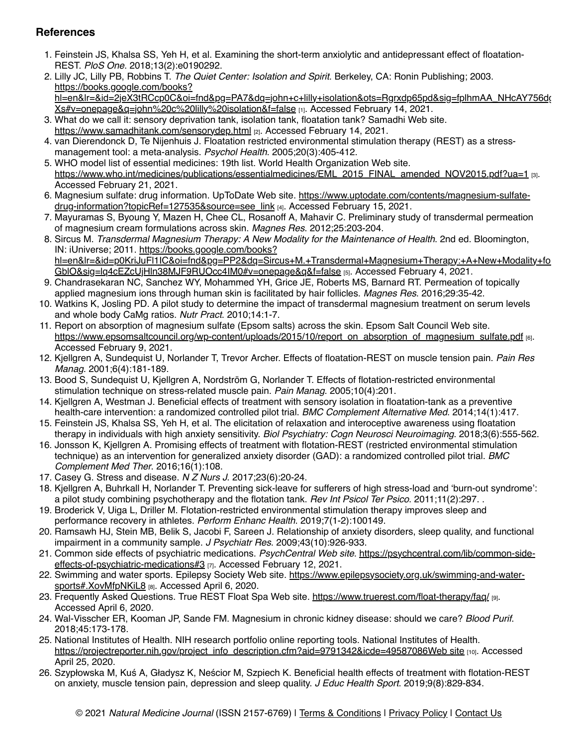# **References**

- 1. Feinstein JS, Khalsa SS, Yeh H, et al. Examining the short-term anxiolytic and antidepressant effect of floatation-REST. *PloS One*. 2018;13(2):e0190292.
- 2. Lilly JC, Lilly PB, Robbins T. *The Quiet Center: Isolation and Spirit*. Berkeley, CA: Ronin Publishing; 2003. https://books.google.com/books? hl=en&lr=&id=2jeX3tRCcp0C&oi=fnd&pg=PA7&dg=john+c+lilly+isolation&ots=Rgrxdp65pd&sig=fplhmAA\_NHcAY756dg Xs#v=onepage&q=john%20c%20lilly%20isolation&f=false [1]. Accessed February 14, 2021.
- 3. What do we call it: sensory deprivation tank, isolation tank, floatation tank? Samadhi Web site. <https://www.samadhitank.com/sensorydep.html> [2]. Accessed February 14, 2021.
- 4. van Dierendonck D, Te Nijenhuis J. Floatation restricted environmental stimulation therapy (REST) as a stressmanagement tool: a meta-analysis. *Psychol Health*. 2005;20(3):405-412.
- 5. WHO model list of essential medicines: 19th list. World Health Organization Web site. [https://www.who.int/medicines/publications/essentialmedicines/EML\\_2015\\_FINAL\\_amended\\_NOV2015.pdf?ua=1](https://www.who.int/medicines/publications/essentialmedicines/EML_2015_FINAL_amended_NOV2015.pdf?ua=1) [3]. Accessed February 21, 2021.
- 6. [Magnesium sulfate: drug information. UpToDate Web site. https://www.uptodate.com/contents/magnesium-sulfate](https://www.uptodate.com/contents/magnesium-sulfate-drug-information?topicRef=127535&source=see_link)drug-information?topicRef=127535&source=see\_link [4]. Accessed February 15, 2021.
- 7. Mayuramas S, Byoung Y, Mazen H, Chee CL, Rosanoff A, Mahavir C. Preliminary study of transdermal permeation of magnesium cream formulations across skin. *Magnes Res*. 2012;25:203-204.
- 8. Sircus M. *Transdermal Magnesium Therapy: A New Modality for the Maintenance of Health*. 2nd ed. Bloomington, IN: iUniverse; 2011. https://books.google.com/books? [hl=en&lr=&id=p0KriJuFl1IC&oi=fnd&pg=PP2&dq=Sircus+M.+Transdermal+Magnesium+Therapy:+A+New+Modality+fo](https://books.google.com/books?hl=en&lr=&id=p0KriJuFl1IC&oi=fnd&pg=PP2&dq=Sircus+M.+Transdermal+Magnesium+Therapy:+A+New+Modality+for+the+Maintenance+of+Health.+2nd+ed.+iUniverse%3B+Bloomington,+Indiana:+2011.+356p+&ots=FO3jh-GblO&sig=lq4cEZcUjHln38MJF9RUOcc4IM0#v=onepage&q&f=false) GblO&sig=lg4cEZcUjHln38MJF9RUOcc4IM0#v=onepage&g&f=false [5]. Accessed February 4, 2021.
- 9. Chandrasekaran NC, Sanchez WY, Mohammed YH, Grice JE, Roberts MS, Barnard RT. Permeation of topically applied magnesium ions through human skin is facilitated by hair follicles. *Magnes Res*. 2016;29:35-42.
- 10. Watkins K, Josling PD. A pilot study to determine the impact of transdermal magnesium treatment on serum levels and whole body CaMg ratios. *Nutr Pract*. 2010;14:1-7.
- 11. Report on absorption of magnesium sulfate (Epsom salts) across the skin. Epsom Salt Council Web site. [https://www.epsomsaltcouncil.org/wp-content/uploads/2015/10/report\\_on\\_absorption\\_of\\_magnesium\\_sulfate.pdf](https://www.epsomsaltcouncil.org/wp-content/uploads/2015/10/report_on_absorption_of_magnesium_sulfate.pdf) [6]. Accessed February 9, 2021.
- 12. Kjellgren A, Sundequist U, Norlander T, Trevor Archer. Effects of floatation-REST on muscle tension pain. *Pain Res Manag*. 2001;6(4):181-189.
- 13. Bood S, Sundequist U, Kjellgren A, Nordström G, Norlander T. Effects of flotation-restricted environmental stimulation technique on stress-related muscle pain. *Pain Manag*. 2005;10(4):201.
- 14. Kjellgren A, Westman J. Beneficial effects of treatment with sensory isolation in floatation-tank as a preventive health-care intervention: a randomized controlled pilot trial. *BMC Complement Alternative Med*. 2014;14(1):417.
- 15. Feinstein JS, Khalsa SS, Yeh H, et al. The elicitation of relaxation and interoceptive awareness using floatation therapy in individuals with high anxiety sensitivity. *Biol Psychiatry: Cogn Neurosci Neuroimaging*. 2018;3(6):555-562.
- 16. Jonsson K, Kjellgren A. Promising effects of treatment with flotation-REST (restricted environmental stimulation technique) as an intervention for generalized anxiety disorder (GAD): a randomized controlled pilot trial. *BMC Complement Med Ther*. 2016;16(1):108.
- 17. Casey G. Stress and disease. *N Z Nurs J*. 2017;23(6):20-24.
- 18. Kjellgren A, Buhrkall H, Norlander T. Preventing sick-leave for sufferers of high stress-load and 'burn-out syndrome': a pilot study combining psychotherapy and the flotation tank. *Rev Int Psicol Ter Psico*. 2011;11(2):297. .
- 19. Broderick V, Uiga L, Driller M. Flotation-restricted environmental stimulation therapy improves sleep and performance recovery in athletes. *Perform Enhanc Health*. 2019;7(1-2):100149.
- 20. Ramsawh HJ, Stein MB, Belik S, Jacobi F, Sareen J. Relationship of anxiety disorders, sleep quality, and functional impairment in a community sample. *J Psychiatr Res*. 2009;43(10):926-933.
- 21. [Common side effects of psychiatric medications.](https://psychcentral.com/lib/common-side-effects-of-psychiatric-medications#3) *PsychCentral Web site*. https://psychcentral.com/lib/common-sideeffects-of-psychiatric-medications#3 [7]. Accessed February 12, 2021.
- 22. [Swimming and water sports. Epilepsy Society Web site. https://www.epilepsysociety.org.uk/swimming-and-water-](https://www.epilepsysociety.org.uk/swimming-and-water-sports#.XovMfpNKiL8)Sports#.XovMfpNKiL8 [8]. Accessed April 6, 2020.
- 23. Frequently Asked Questions. True REST Float Spa Web site. <https://www.truerest.com/float-therapy/faq/> [9]. Accessed April 6, 2020.
- 24. Wal-Visscher ER, Kooman JP, Sande FM. Magnesium in chronic kidney disease: should we care? *Blood Purif*. 2018;45:173-178.
- 25. National Institutes of Health. NIH research portfolio online reporting tools. National Institutes of Health. [https://projectreporter.nih.gov/project\\_info\\_description.cfm?aid=9791342&icde=49587086Web site](https://projectreporter.nih.gov/project_info_description.cfm?aid=9791342&icde=49587086Web%20site) [10]. Accessed April 25, 2020.
- 26. Szypłowska M, Kuś A, Gładysz K, Neścior M, Szpiech K. Beneficial health effects of treatment with flotation-REST on anxiety, muscle tension pain, depression and sleep quality. *J Educ Health Sport*. 2019;9(8):829-834.